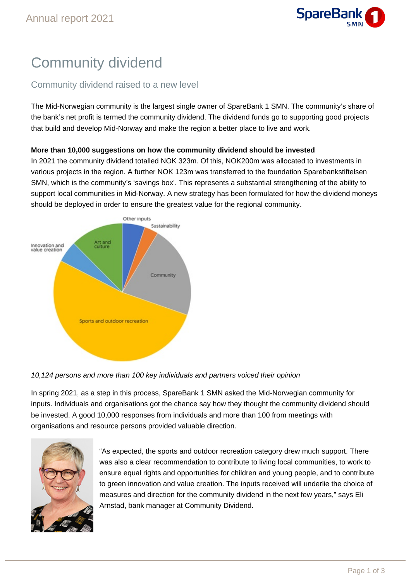

# Community dividend

# Community dividend raised to a new level

The Mid-Norwegian community is the largest single owner of SpareBank 1 SMN. The community's share of the bank's net profit is termed the community dividend. The dividend funds go to supporting good projects that build and develop Mid-Norway and make the region a better place to live and work.

# **More than 10,000 suggestions on how the community dividend should be invested**

In 2021 the community dividend totalled NOK 323m. Of this, NOK200m was allocated to investments in various projects in the region. A further NOK 123m was transferred to the foundation Sparebankstiftelsen SMN, which is the community's 'savings box'. This represents a substantial strengthening of the ability to support local communities in Mid-Norway. A new strategy has been formulated for how the dividend moneys should be deployed in order to ensure the greatest value for the regional community.



# 10,124 persons and more than 100 key individuals and partners voiced their opinion

In spring 2021, as a step in this process, SpareBank 1 SMN asked the Mid-Norwegian community for inputs. Individuals and organisations got the chance say how they thought the community dividend should be invested. A good 10,000 responses from individuals and more than 100 from meetings with organisations and resource persons provided valuable direction.



"As expected, the sports and outdoor recreation category drew much support. There was also a clear recommendation to contribute to living local communities, to work to ensure equal rights and opportunities for children and young people, and to contribute to green innovation and value creation. The inputs received will underlie the choice of measures and direction for the community dividend in the next few years," says Eli Arnstad, bank manager at Community Dividend.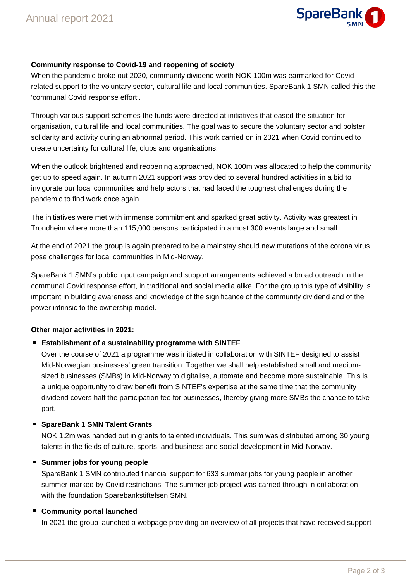

### **Community response to Covid-19 and reopening of society**

When the pandemic broke out 2020, community dividend worth NOK 100m was earmarked for Covidrelated support to the voluntary sector, cultural life and local communities. SpareBank 1 SMN called this the 'communal Covid response effort'.

Through various support schemes the funds were directed at initiatives that eased the situation for organisation, cultural life and local communities. The goal was to secure the voluntary sector and bolster solidarity and activity during an abnormal period. This work carried on in 2021 when Covid continued to create uncertainty for cultural life, clubs and organisations.

When the outlook brightened and reopening approached, NOK 100m was allocated to help the community get up to speed again. In autumn 2021 support was provided to several hundred activities in a bid to invigorate our local communities and help actors that had faced the toughest challenges during the pandemic to find work once again.

The initiatives were met with immense commitment and sparked great activity. Activity was greatest in Trondheim where more than 115,000 persons participated in almost 300 events large and small.

At the end of 2021 the group is again prepared to be a mainstay should new mutations of the corona virus pose challenges for local communities in Mid-Norway.

SpareBank 1 SMN's public input campaign and support arrangements achieved a broad outreach in the communal Covid response effort, in traditional and social media alike. For the group this type of visibility is important in building awareness and knowledge of the significance of the community dividend and of the power intrinsic to the ownership model.

#### **Other major activities in 2021:**

# **Establishment of a sustainability programme with SINTEF**

Over the course of 2021 a programme was initiated in collaboration with SINTEF designed to assist Mid-Norwegian businesses' green transition. Together we shall help established small and mediumsized businesses (SMBs) in Mid-Norway to digitalise, automate and become more sustainable. This is a unique opportunity to draw benefit from SINTEF's expertise at the same time that the community dividend covers half the participation fee for businesses, thereby giving more SMBs the chance to take part.

#### ■ SpareBank 1 SMN Talent Grants

NOK 1.2m was handed out in grants to talented individuals. This sum was distributed among 30 young talents in the fields of culture, sports, and business and social development in Mid-Norway.

#### **E** Summer jobs for young people

SpareBank 1 SMN contributed financial support for 633 summer jobs for young people in another summer marked by Covid restrictions. The summer-job project was carried through in collaboration with the foundation Sparebankstiftelsen SMN.

# **Community portal launched**

In 2021 the group launched a webpage providing an overview of all projects that have received support